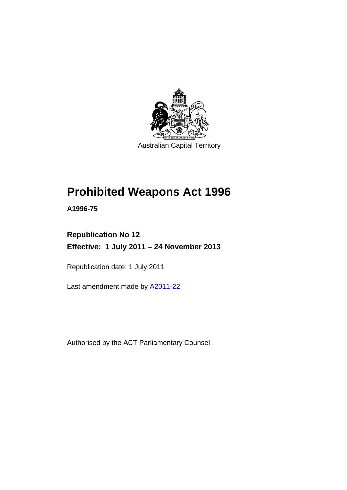

Australian Capital Territory

# **Prohibited Weapons Act 1996**

**A1996-75** 

# **Republication No 12 Effective: 1 July 2011 – 24 November 2013**

Republication date: 1 July 2011

Last amendment made by [A2011-22](http://www.legislation.act.gov.au/a/2011-22)

Authorised by the ACT Parliamentary Counsel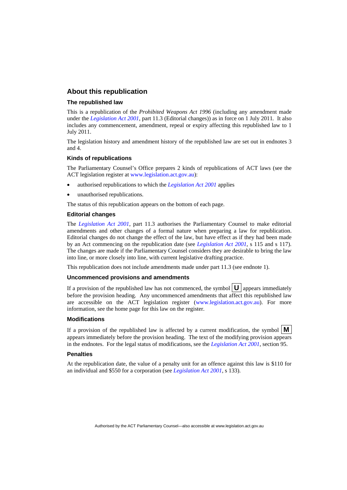#### **About this republication**

#### **The republished law**

This is a republication of the *Prohibited Weapons Act 1996* (including any amendment made under the *[Legislation Act 2001](http://www.legislation.act.gov.au/a/2001-14)*, part 11.3 (Editorial changes)) as in force on 1 July 2011*.* It also includes any commencement, amendment, repeal or expiry affecting this republished law to 1 July 2011.

The legislation history and amendment history of the republished law are set out in endnotes 3 and 4.

#### **Kinds of republications**

The Parliamentary Counsel's Office prepares 2 kinds of republications of ACT laws (see the ACT legislation register at [www.legislation.act.gov.au](http://www.legislation.act.gov.au/)):

- authorised republications to which the *[Legislation Act 2001](http://www.legislation.act.gov.au/a/2001-14)* applies
- unauthorised republications.

The status of this republication appears on the bottom of each page.

#### **Editorial changes**

The *[Legislation Act 2001](http://www.legislation.act.gov.au/a/2001-14)*, part 11.3 authorises the Parliamentary Counsel to make editorial amendments and other changes of a formal nature when preparing a law for republication. Editorial changes do not change the effect of the law, but have effect as if they had been made by an Act commencing on the republication date (see *[Legislation Act 2001](http://www.legislation.act.gov.au/a/2001-14)*, s 115 and s 117). The changes are made if the Parliamentary Counsel considers they are desirable to bring the law into line, or more closely into line, with current legislative drafting practice.

This republication does not include amendments made under part 11.3 (see endnote 1).

#### **Uncommenced provisions and amendments**

If a provision of the republished law has not commenced, the symbol  $\mathbf{U}$  appears immediately before the provision heading. Any uncommenced amendments that affect this republished law are accessible on the ACT legislation register [\(www.legislation.act.gov.au\)](http://www.legislation.act.gov.au/). For more information, see the home page for this law on the register.

#### **Modifications**

If a provision of the republished law is affected by a current modification, the symbol  $\mathbf{M}$ appears immediately before the provision heading. The text of the modifying provision appears in the endnotes. For the legal status of modifications, see the *[Legislation Act 2001](http://www.legislation.act.gov.au/a/2001-14)*, section 95.

#### **Penalties**

At the republication date, the value of a penalty unit for an offence against this law is \$110 for an individual and \$550 for a corporation (see *[Legislation Act 2001](http://www.legislation.act.gov.au/a/2001-14)*, s 133).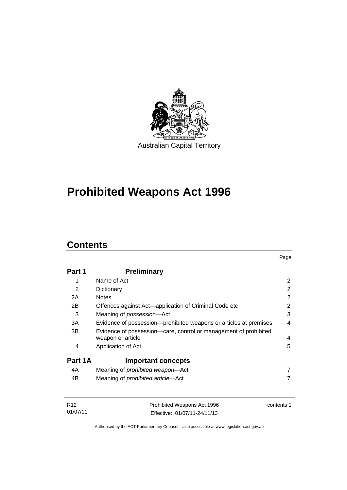

# **Prohibited Weapons Act 1996**

# **Contents**

| Part 1  | <b>Preliminary</b>                                                                    |   |
|---------|---------------------------------------------------------------------------------------|---|
| 1       | Name of Act                                                                           | 2 |
| 2       | Dictionary                                                                            | 2 |
| 2A      | <b>Notes</b>                                                                          | 2 |
| 2B      | Offences against Act—application of Criminal Code etc                                 | 2 |
| 3       | Meaning of possession-Act                                                             | 3 |
| 3A      | Evidence of possession-prohibited weapons or articles at premises                     | 4 |
| 3B      | Evidence of possession-care, control or management of prohibited<br>weapon or article | 4 |
| 4       | Application of Act                                                                    | 5 |
| Part 1A | <b>Important concepts</b>                                                             |   |
| 4A      | Meaning of <i>prohibited</i> weapon-Act                                               | 7 |
| 4B      | Meaning of <i>prohibited</i> article-Act                                              | 7 |

| R12      | Prohibited Weapons Act 1996  | contents 1 |
|----------|------------------------------|------------|
| 01/07/11 | Effective: 01/07/11-24/11/13 |            |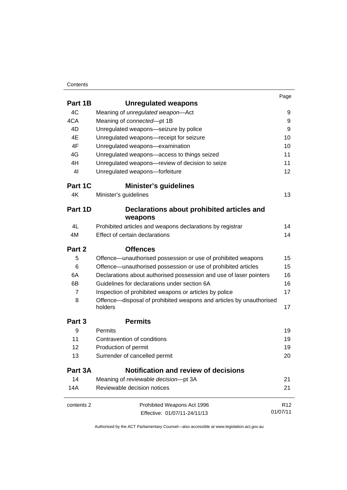#### **Contents**

|                   |                                                                                | Page            |
|-------------------|--------------------------------------------------------------------------------|-----------------|
| Part 1B           | <b>Unregulated weapons</b>                                                     |                 |
| 4C                | Meaning of unregulated weapon-Act                                              | 9               |
| 4CA               | Meaning of connected-pt 1B                                                     | 9               |
| 4D                | Unregulated weapons-seizure by police                                          | 9               |
| 4E                | Unregulated weapons-receipt for seizure                                        | 10              |
| 4F                | Unregulated weapons-examination                                                | 10              |
| 4G                | Unregulated weapons-access to things seized                                    | 11              |
| 4H                | Unregulated weapons-review of decision to seize                                | 11              |
| 4 <sub>l</sub>    | Unregulated weapons-forfeiture                                                 | 12              |
| Part 1C           | <b>Minister's guidelines</b>                                                   |                 |
| 4K                | Minister's guidelines                                                          | 13              |
| Part 1D           | Declarations about prohibited articles and                                     |                 |
|                   | weapons                                                                        |                 |
| 4L                | Prohibited articles and weapons declarations by registrar                      | 14              |
| 4M                | Effect of certain declarations                                                 | 14              |
| Part 2            | <b>Offences</b>                                                                |                 |
| 5                 | Offence-unauthorised possession or use of prohibited weapons                   | 15              |
| 6                 | Offence-unauthorised possession or use of prohibited articles                  | 15              |
| 6A                | Declarations about authorised possession and use of laser pointers             | 16              |
| 6B                | Guidelines for declarations under section 6A                                   | 16              |
| $\overline{7}$    | Inspection of prohibited weapons or articles by police                         | 17              |
| 8                 | Offence—disposal of prohibited weapons and articles by unauthorised<br>holders | 17              |
| Part <sub>3</sub> | <b>Permits</b>                                                                 |                 |
| 9                 | Permits                                                                        | 19              |
| 11                | Contravention of conditions                                                    | 19              |
| 12                | Production of permit                                                           | 19              |
| 13                | Surrender of cancelled permit                                                  | 20              |
| Part 3A           | <b>Notification and review of decisions</b>                                    |                 |
| 14                | Meaning of reviewable decision-pt 3A                                           | 21              |
| 14A               | Reviewable decision notices                                                    | 21              |
| contents 2        | Prohibited Weapons Act 1996                                                    | R <sub>12</sub> |
|                   | Effective: 01/07/11-24/11/13                                                   | 01/07/11        |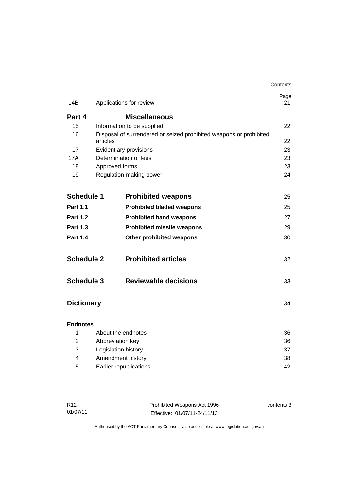|                   |                  |                                                                    | Contents   |
|-------------------|------------------|--------------------------------------------------------------------|------------|
| 14B               |                  | Applications for review                                            | Page<br>21 |
| Part 4            |                  | <b>Miscellaneous</b>                                               |            |
| 15                |                  | Information to be supplied                                         | 22         |
| 16                |                  | Disposal of surrendered or seized prohibited weapons or prohibited |            |
|                   | articles         |                                                                    | 22         |
| 17                |                  | Evidentiary provisions                                             | 23         |
| 17A               |                  | Determination of fees                                              | 23         |
| 18                | Approved forms   |                                                                    | 23         |
| 19                |                  | Regulation-making power                                            | 24         |
| <b>Schedule 1</b> |                  | <b>Prohibited weapons</b>                                          | 25         |
| <b>Part 1.1</b>   |                  | <b>Prohibited bladed weapons</b>                                   | 25         |
| <b>Part 1.2</b>   |                  | <b>Prohibited hand weapons</b>                                     | 27         |
| <b>Part 1.3</b>   |                  | <b>Prohibited missile weapons</b>                                  | 29         |
| <b>Part 1.4</b>   |                  | Other prohibited weapons                                           | 30         |
| <b>Schedule 2</b> |                  | <b>Prohibited articles</b>                                         | 32         |
| <b>Schedule 3</b> |                  | <b>Reviewable decisions</b>                                        | 33         |
| <b>Dictionary</b> |                  |                                                                    | 34         |
| <b>Endnotes</b>   |                  |                                                                    |            |
| $\mathbf{1}$      |                  | About the endnotes                                                 | 36         |
| $\overline{2}$    | Abbreviation key |                                                                    | 36         |
| 3                 |                  | Legislation history                                                | 37         |
| 4                 |                  | Amendment history                                                  | 38         |
| 5                 |                  | Earlier republications                                             | 42         |
|                   |                  |                                                                    |            |

| R <sub>12</sub> | Prohibited Weapons Act 1996  | contents 3 |
|-----------------|------------------------------|------------|
| 01/07/11        | Effective: 01/07/11-24/11/13 |            |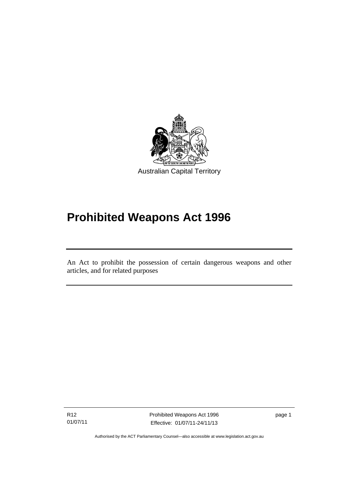

# **Prohibited Weapons Act 1996**

An Act to prohibit the possession of certain dangerous weapons and other articles, and for related purposes

R12 01/07/11

l

Prohibited Weapons Act 1996 Effective: 01/07/11-24/11/13

page 1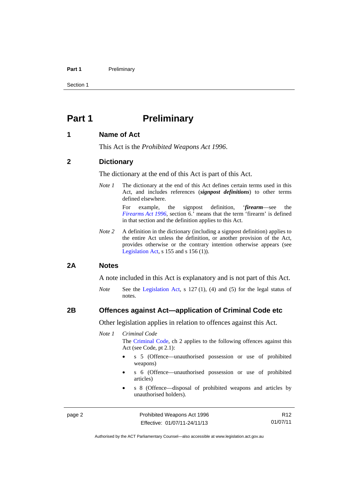#### Part 1 **Preliminary**

Section 1

## <span id="page-7-0"></span>**Part 1** Preliminary

#### <span id="page-7-1"></span>**1 Name of Act**

This Act is the *Prohibited Weapons Act 1996*.

#### <span id="page-7-2"></span>**2 Dictionary**

The dictionary at the end of this Act is part of this Act.

*Note 1* The dictionary at the end of this Act defines certain terms used in this Act, and includes references (*signpost definitions*) to other terms defined elsewhere.

> For example, the signpost definition, '*firearm*—see the *[Firearms Act 1996](http://www.legislation.act.gov.au/a/1996-74)*, section 6.' means that the term 'firearm' is defined in that section and the definition applies to this Act.

*Note 2* A definition in the dictionary (including a signpost definition) applies to the entire Act unless the definition, or another provision of the Act, provides otherwise or the contrary intention otherwise appears (see [Legislation Act,](http://www.legislation.act.gov.au/a/2001-14) s 155 and s 156 (1)).

#### <span id="page-7-3"></span>**2A Notes**

A note included in this Act is explanatory and is not part of this Act.

*Note* See the [Legislation Act,](http://www.legislation.act.gov.au/a/2001-14) s 127 (1), (4) and (5) for the legal status of notes.

### <span id="page-7-4"></span>**2B Offences against Act—application of Criminal Code etc**

Other legislation applies in relation to offences against this Act.

*Note 1 Criminal Code*

The [Criminal Code](http://www.legislation.act.gov.au/a/2002-51), ch 2 applies to the following offences against this Act (see Code, pt 2.1):

- s 5 (Offence—unauthorised possession or use of prohibited weapons)
- s 6 (Offence—unauthorised possession or use of prohibited articles)
- s 8 (Offence—disposal of prohibited weapons and articles by unauthorised holders).

page 2 **Prohibited Weapons Act 1996** Effective: 01/07/11-24/11/13

R12 01/07/11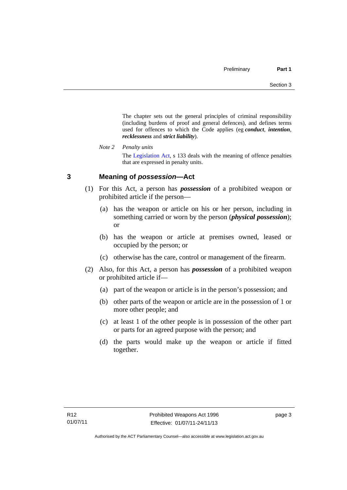The chapter sets out the general principles of criminal responsibility (including burdens of proof and general defences), and defines terms used for offences to which the Code applies (eg *conduct*, *intention*, *recklessness* and *strict liability*).

*Note 2 Penalty units* 

The [Legislation Act](http://www.legislation.act.gov.au/a/2001-14), s 133 deals with the meaning of offence penalties that are expressed in penalty units.

## <span id="page-8-0"></span>**3 Meaning of** *possession***—Act**

- (1) For this Act, a person has *possession* of a prohibited weapon or prohibited article if the person—
	- (a) has the weapon or article on his or her person, including in something carried or worn by the person (*physical possession*); or
	- (b) has the weapon or article at premises owned, leased or occupied by the person; or
	- (c) otherwise has the care, control or management of the firearm.
- (2) Also, for this Act, a person has *possession* of a prohibited weapon or prohibited article if—
	- (a) part of the weapon or article is in the person's possession; and
	- (b) other parts of the weapon or article are in the possession of 1 or more other people; and
	- (c) at least 1 of the other people is in possession of the other part or parts for an agreed purpose with the person; and
	- (d) the parts would make up the weapon or article if fitted together.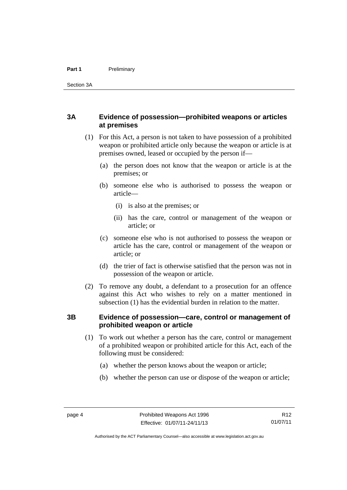## <span id="page-9-0"></span>**3A Evidence of possession—prohibited weapons or articles at premises**

- (1) For this Act, a person is not taken to have possession of a prohibited weapon or prohibited article only because the weapon or article is at premises owned, leased or occupied by the person if—
	- (a) the person does not know that the weapon or article is at the premises; or
	- (b) someone else who is authorised to possess the weapon or article—
		- (i) is also at the premises; or
		- (ii) has the care, control or management of the weapon or article; or
	- (c) someone else who is not authorised to possess the weapon or article has the care, control or management of the weapon or article; or
	- (d) the trier of fact is otherwise satisfied that the person was not in possession of the weapon or article.
- (2) To remove any doubt, a defendant to a prosecution for an offence against this Act who wishes to rely on a matter mentioned in subsection (1) has the evidential burden in relation to the matter.

## <span id="page-9-1"></span>**3B Evidence of possession—care, control or management of prohibited weapon or article**

- (1) To work out whether a person has the care, control or management of a prohibited weapon or prohibited article for this Act, each of the following must be considered:
	- (a) whether the person knows about the weapon or article;
	- (b) whether the person can use or dispose of the weapon or article;

R12 01/07/11

Authorised by the ACT Parliamentary Counsel—also accessible at www.legislation.act.gov.au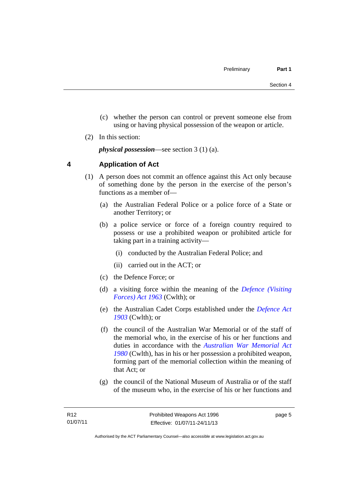- (c) whether the person can control or prevent someone else from using or having physical possession of the weapon or article.
- (2) In this section:

*physical possession*—see section 3 (1) (a).

## <span id="page-10-0"></span>**4 Application of Act**

- (1) A person does not commit an offence against this Act only because of something done by the person in the exercise of the person's functions as a member of—
	- (a) the Australian Federal Police or a police force of a State or another Territory; or
	- (b) a police service or force of a foreign country required to possess or use a prohibited weapon or prohibited article for taking part in a training activity—
		- (i) conducted by the Australian Federal Police; and
		- (ii) carried out in the ACT; or
	- (c) the Defence Force; or
	- (d) a visiting force within the meaning of the *[Defence \(Visiting](http://www.comlaw.gov.au/Series/C1963A00081)  [Forces\) Act 1963](http://www.comlaw.gov.au/Series/C1963A00081)* (Cwlth); or
	- (e) the Australian Cadet Corps established under the *[Defence Act](http://www.comlaw.gov.au/Series/C1903A00020)  [1903](http://www.comlaw.gov.au/Series/C1903A00020)* (Cwlth); or
	- (f) the council of the Australian War Memorial or of the staff of the memorial who, in the exercise of his or her functions and duties in accordance with the *[Australian War Memorial Act](http://www.comlaw.gov.au/Series/C2004A02305)  [1980](http://www.comlaw.gov.au/Series/C2004A02305)* (Cwlth), has in his or her possession a prohibited weapon, forming part of the memorial collection within the meaning of that Act; or
	- (g) the council of the National Museum of Australia or of the staff of the museum who, in the exercise of his or her functions and

page 5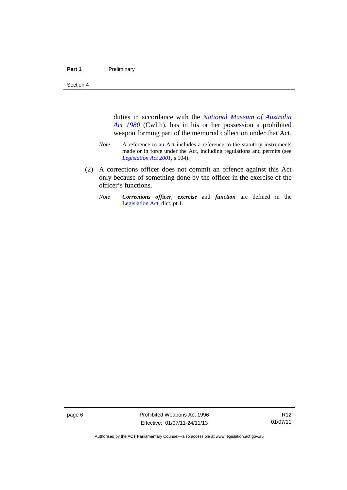Section 4

duties in accordance with the *[National Museum of Australia](http://www.comlaw.gov.au/Series/C2004A02316)  [Act 1980](http://www.comlaw.gov.au/Series/C2004A02316)* (Cwlth), has in his or her possession a prohibited weapon forming part of the memorial collection under that Act.

- *Note* A reference to an Act includes a reference to the statutory instruments made or in force under the Act, including regulations and permits (see *[Legislation Act 2001](http://www.legislation.act.gov.au/a/2001-14)*, s 104).
- (2) A corrections officer does not commit an offence against this Act only because of something done by the officer in the exercise of the officer's functions.
	- *Note Corrections officer*, *exercise* and *function* are defined in the [Legislation Act,](http://www.legislation.act.gov.au/a/2001-14) dict, pt 1.

page 6 **Prohibited Weapons Act 1996** Effective: 01/07/11-24/11/13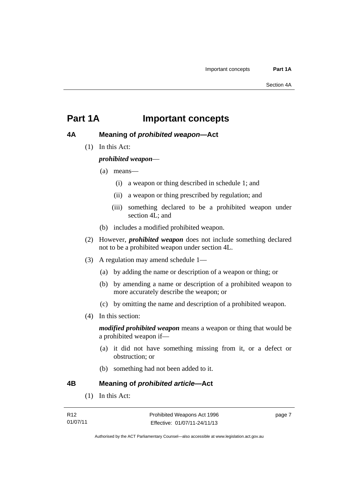## <span id="page-12-0"></span>**Part 1A Important concepts**

## <span id="page-12-1"></span>**4A Meaning of** *prohibited weapon***—Act**

(1) In this Act:

*prohibited weapon*—

- (a) means—
	- (i) a weapon or thing described in schedule 1; and
	- (ii) a weapon or thing prescribed by regulation; and
	- (iii) something declared to be a prohibited weapon under section 4L; and
- (b) includes a modified prohibited weapon.
- (2) However, *prohibited weapon* does not include something declared not to be a prohibited weapon under section 4L.
- (3) A regulation may amend schedule 1—
	- (a) by adding the name or description of a weapon or thing; or
	- (b) by amending a name or description of a prohibited weapon to more accurately describe the weapon; or
	- (c) by omitting the name and description of a prohibited weapon.
- (4) In this section:

*modified prohibited weapon* means a weapon or thing that would be a prohibited weapon if—

- (a) it did not have something missing from it, or a defect or obstruction; or
- (b) something had not been added to it.

<span id="page-12-2"></span>**4B Meaning of** *prohibited article***—Act**

(1) In this Act: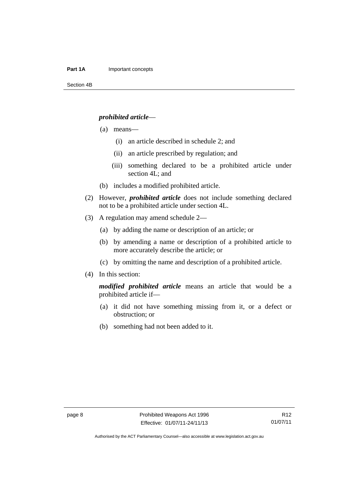#### *prohibited article*—

- (a) means—
	- (i) an article described in schedule 2; and
	- (ii) an article prescribed by regulation; and
	- (iii) something declared to be a prohibited article under section 4L; and
- (b) includes a modified prohibited article.
- (2) However, *prohibited article* does not include something declared not to be a prohibited article under section 4L.
- (3) A regulation may amend schedule 2—
	- (a) by adding the name or description of an article; or
	- (b) by amending a name or description of a prohibited article to more accurately describe the article; or
	- (c) by omitting the name and description of a prohibited article.

#### (4) In this section:

*modified prohibited article* means an article that would be a prohibited article if—

- (a) it did not have something missing from it, or a defect or obstruction; or
- (b) something had not been added to it.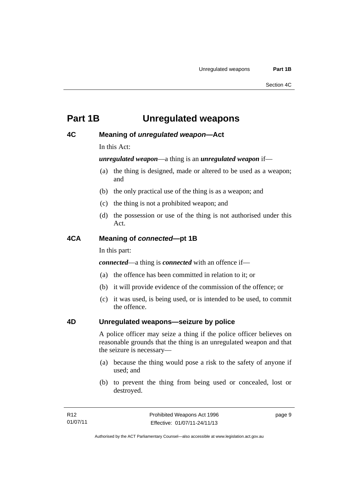## <span id="page-14-0"></span>**Part 1B Unregulated weapons**

### <span id="page-14-1"></span>**4C Meaning of** *unregulated weapon***—Act**

In this Act:

*unregulated weapon*—a thing is an *unregulated weapon* if—

- (a) the thing is designed, made or altered to be used as a weapon; and
- (b) the only practical use of the thing is as a weapon; and
- (c) the thing is not a prohibited weapon; and
- (d) the possession or use of the thing is not authorised under this Act.

### <span id="page-14-2"></span>**4CA Meaning of** *connected***—pt 1B**

In this part:

*connected*—a thing is *connected* with an offence if—

- (a) the offence has been committed in relation to it; or
- (b) it will provide evidence of the commission of the offence; or
- (c) it was used, is being used, or is intended to be used, to commit the offence.

#### <span id="page-14-3"></span>**4D Unregulated weapons—seizure by police**

A police officer may seize a thing if the police officer believes on reasonable grounds that the thing is an unregulated weapon and that the seizure is necessary—

- (a) because the thing would pose a risk to the safety of anyone if used; and
- (b) to prevent the thing from being used or concealed, lost or destroyed.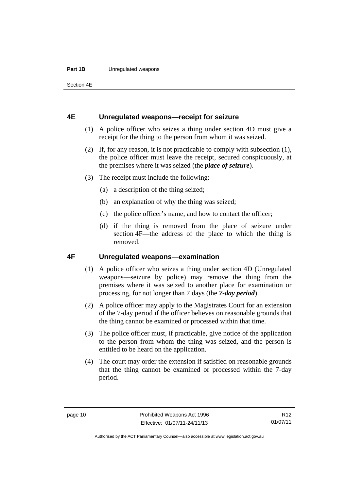#### **Part 1B** Unregulated weapons

Section 4E

#### <span id="page-15-0"></span>**4E Unregulated weapons—receipt for seizure**

- (1) A police officer who seizes a thing under section 4D must give a receipt for the thing to the person from whom it was seized.
- (2) If, for any reason, it is not practicable to comply with subsection (1), the police officer must leave the receipt, secured conspicuously, at the premises where it was seized (the *place of seizure*).
- (3) The receipt must include the following:
	- (a) a description of the thing seized;
	- (b) an explanation of why the thing was seized;
	- (c) the police officer's name, and how to contact the officer;
	- (d) if the thing is removed from the place of seizure under section 4F—the address of the place to which the thing is removed.

#### <span id="page-15-1"></span>**4F Unregulated weapons—examination**

- (1) A police officer who seizes a thing under section 4D (Unregulated weapons—seizure by police) may remove the thing from the premises where it was seized to another place for examination or processing, for not longer than 7 days (the *7-day period*).
- (2) A police officer may apply to the Magistrates Court for an extension of the 7-day period if the officer believes on reasonable grounds that the thing cannot be examined or processed within that time.
- (3) The police officer must, if practicable, give notice of the application to the person from whom the thing was seized, and the person is entitled to be heard on the application.
- (4) The court may order the extension if satisfied on reasonable grounds that the thing cannot be examined or processed within the 7-day period.

R12 01/07/11

Authorised by the ACT Parliamentary Counsel—also accessible at www.legislation.act.gov.au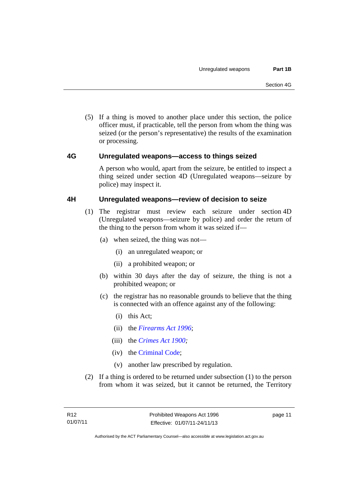(5) If a thing is moved to another place under this section, the police officer must, if practicable, tell the person from whom the thing was seized (or the person's representative) the results of the examination or processing.

### <span id="page-16-0"></span>**4G Unregulated weapons—access to things seized**

A person who would, apart from the seizure, be entitled to inspect a thing seized under section 4D (Unregulated weapons—seizure by police) may inspect it.

### <span id="page-16-1"></span>**4H Unregulated weapons—review of decision to seize**

- (1) The registrar must review each seizure under section 4D (Unregulated weapons—seizure by police) and order the return of the thing to the person from whom it was seized if—
	- (a) when seized, the thing was not—
		- (i) an unregulated weapon; or
		- (ii) a prohibited weapon; or
	- (b) within 30 days after the day of seizure, the thing is not a prohibited weapon; or
	- (c) the registrar has no reasonable grounds to believe that the thing is connected with an offence against any of the following:
		- (i) this Act;
		- (ii) the *[Firearms Act 1996](http://www.legislation.act.gov.au/a/1996-74)*;
		- (iii) the *[Crimes Act 1900](http://www.legislation.act.gov.au/a/1900-40);*
		- (iv) the [Criminal Code;](http://www.legislation.act.gov.au/a/2002-51)
		- (v) another law prescribed by regulation.
- (2) If a thing is ordered to be returned under subsection (1) to the person from whom it was seized, but it cannot be returned, the Territory

page 11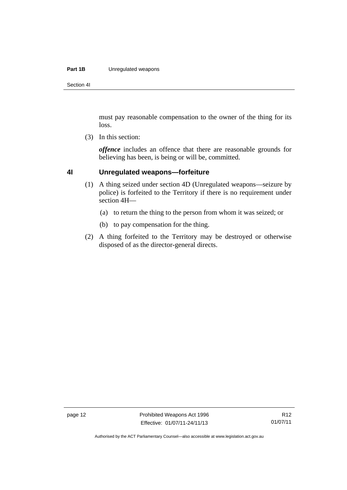#### **Part 1B** Unregulated weapons

Section 4I

must pay reasonable compensation to the owner of the thing for its loss.

(3) In this section:

*offence* includes an offence that there are reasonable grounds for believing has been, is being or will be, committed.

#### <span id="page-17-0"></span>**4I Unregulated weapons—forfeiture**

- (1) A thing seized under section 4D (Unregulated weapons—seizure by police) is forfeited to the Territory if there is no requirement under section 4H—
	- (a) to return the thing to the person from whom it was seized; or
	- (b) to pay compensation for the thing.
- (2) A thing forfeited to the Territory may be destroyed or otherwise disposed of as the director-general directs.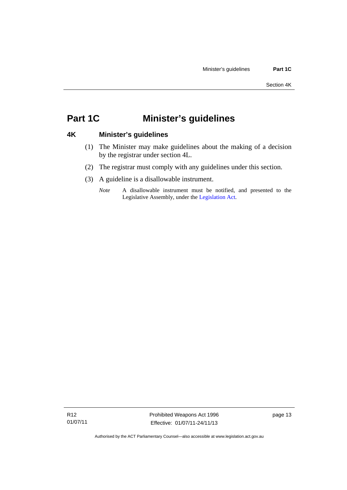## <span id="page-18-0"></span>**Part 1C Minister's guidelines**

## <span id="page-18-1"></span>**4K Minister's guidelines**

- (1) The Minister may make guidelines about the making of a decision by the registrar under section 4L.
- (2) The registrar must comply with any guidelines under this section.
- (3) A guideline is a disallowable instrument.
	- *Note* A disallowable instrument must be notified, and presented to the Legislative Assembly, under the [Legislation Act.](http://www.legislation.act.gov.au/a/2001-14)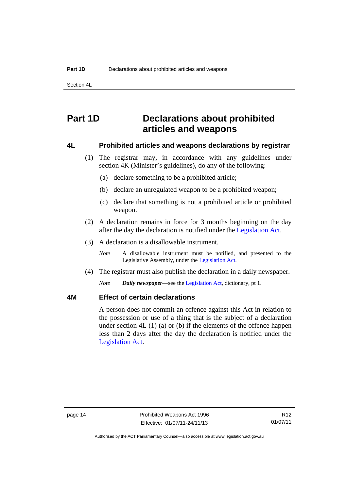Section 4L

## <span id="page-19-0"></span>**Part 1D Declarations about prohibited articles and weapons**

#### <span id="page-19-1"></span>**4L Prohibited articles and weapons declarations by registrar**

- (1) The registrar may, in accordance with any guidelines under section 4K (Minister's guidelines), do any of the following:
	- (a) declare something to be a prohibited article;
	- (b) declare an unregulated weapon to be a prohibited weapon;
	- (c) declare that something is not a prohibited article or prohibited weapon.
- (2) A declaration remains in force for 3 months beginning on the day after the day the declaration is notified under the [Legislation Act.](http://www.legislation.act.gov.au/a/2001-14)
- (3) A declaration is a disallowable instrument.

*Note* A disallowable instrument must be notified, and presented to the Legislative Assembly, under the [Legislation Act.](http://www.legislation.act.gov.au/a/2001-14)

(4) The registrar must also publish the declaration in a daily newspaper.

*Note Daily newspaper*—see the [Legislation Act,](http://www.legislation.act.gov.au/a/2001-14) dictionary, pt 1.

## <span id="page-19-2"></span>**4M Effect of certain declarations**

A person does not commit an offence against this Act in relation to the possession or use of a thing that is the subject of a declaration under section 4L (1) (a) or (b) if the elements of the offence happen less than 2 days after the day the declaration is notified under the [Legislation Act](http://www.legislation.act.gov.au/a/2001-14).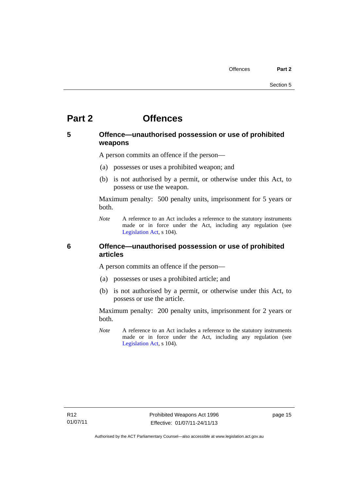## <span id="page-20-0"></span>**Part 2 Offences**

## <span id="page-20-1"></span>**5 Offence—unauthorised possession or use of prohibited weapons**

A person commits an offence if the person—

- (a) possesses or uses a prohibited weapon; and
- (b) is not authorised by a permit, or otherwise under this Act, to possess or use the weapon.

Maximum penalty: 500 penalty units, imprisonment for 5 years or both.

*Note* A reference to an Act includes a reference to the statutory instruments made or in force under the Act, including any regulation (see [Legislation Act,](http://www.legislation.act.gov.au/a/2001-14) s 104).

### <span id="page-20-2"></span>**6 Offence—unauthorised possession or use of prohibited articles**

A person commits an offence if the person—

- (a) possesses or uses a prohibited article; and
- (b) is not authorised by a permit, or otherwise under this Act, to possess or use the article.

Maximum penalty: 200 penalty units, imprisonment for 2 years or both.

*Note* A reference to an Act includes a reference to the statutory instruments made or in force under the Act, including any regulation (see [Legislation Act,](http://www.legislation.act.gov.au/a/2001-14) s 104).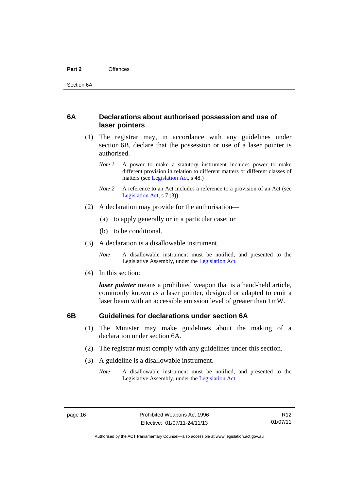#### <span id="page-21-0"></span>**6A Declarations about authorised possession and use of laser pointers**

- (1) The registrar may, in accordance with any guidelines under section 6B, declare that the possession or use of a laser pointer is authorised.
	- *Note 1* A power to make a statutory instrument includes power to make different provision in relation to different matters or different classes of matters (see [Legislation Act,](http://www.legislation.act.gov.au/a/2001-14) s 48.)
	- *Note* 2 A reference to an Act includes a reference to a provision of an Act (see [Legislation Act,](http://www.legislation.act.gov.au/a/2001-14) s 7 (3)).
- (2) A declaration may provide for the authorisation—
	- (a) to apply generally or in a particular case; or
	- (b) to be conditional.
- (3) A declaration is a disallowable instrument.

*Note* A disallowable instrument must be notified, and presented to the Legislative Assembly, under the [Legislation Act.](http://www.legislation.act.gov.au/a/2001-14)

(4) In this section:

*laser pointer* means a prohibited weapon that is a hand-held article, commonly known as a laser pointer, designed or adapted to emit a laser beam with an accessible emission level of greater than 1mW.

## <span id="page-21-1"></span>**6B Guidelines for declarations under section 6A**

- (1) The Minister may make guidelines about the making of a declaration under section 6A.
- (2) The registrar must comply with any guidelines under this section.
- (3) A guideline is a disallowable instrument.
	- *Note* A disallowable instrument must be notified, and presented to the Legislative Assembly, under the [Legislation Act.](http://www.legislation.act.gov.au/a/2001-14)

Authorised by the ACT Parliamentary Counsel—also accessible at www.legislation.act.gov.au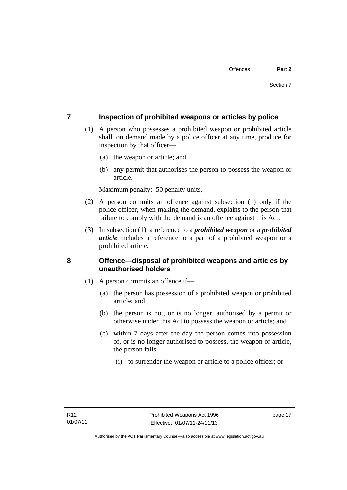### <span id="page-22-0"></span>**7 Inspection of prohibited weapons or articles by police**

- (1) A person who possesses a prohibited weapon or prohibited article shall, on demand made by a police officer at any time, produce for inspection by that officer—
	- (a) the weapon or article; and
	- (b) any permit that authorises the person to possess the weapon or article.

Maximum penalty: 50 penalty units.

- (2) A person commits an offence against subsection (1) only if the police officer, when making the demand, explains to the person that failure to comply with the demand is an offence against this Act.
- (3) In subsection (1), a reference to a *prohibited weapon* or a *prohibited article* includes a reference to a part of a prohibited weapon or a prohibited article.

## <span id="page-22-1"></span>**8 Offence—disposal of prohibited weapons and articles by unauthorised holders**

- (1) A person commits an offence if—
	- (a) the person has possession of a prohibited weapon or prohibited article; and
	- (b) the person is not, or is no longer, authorised by a permit or otherwise under this Act to possess the weapon or article; and
	- (c) within 7 days after the day the person comes into possession of, or is no longer authorised to possess, the weapon or article, the person fails—
		- (i) to surrender the weapon or article to a police officer; or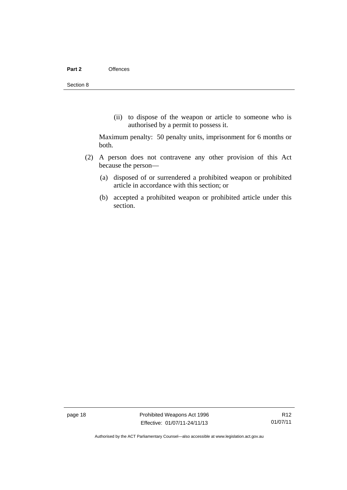(ii) to dispose of the weapon or article to someone who is authorised by a permit to possess it.

Maximum penalty: 50 penalty units, imprisonment for 6 months or both.

- (2) A person does not contravene any other provision of this Act because the person—
	- (a) disposed of or surrendered a prohibited weapon or prohibited article in accordance with this section; or
	- (b) accepted a prohibited weapon or prohibited article under this section.

page 18 **Prohibited Weapons Act 1996** Effective: 01/07/11-24/11/13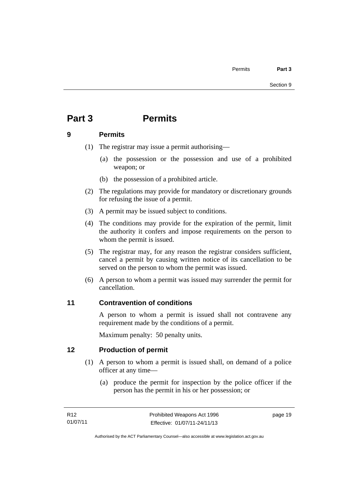# <span id="page-24-0"></span>**Part 3 Permits**

## <span id="page-24-1"></span>**9 Permits**

- (1) The registrar may issue a permit authorising—
	- (a) the possession or the possession and use of a prohibited weapon; or
	- (b) the possession of a prohibited article.
- (2) The regulations may provide for mandatory or discretionary grounds for refusing the issue of a permit.
- (3) A permit may be issued subject to conditions.
- (4) The conditions may provide for the expiration of the permit, limit the authority it confers and impose requirements on the person to whom the permit is issued.
- (5) The registrar may, for any reason the registrar considers sufficient, cancel a permit by causing written notice of its cancellation to be served on the person to whom the permit was issued.
- (6) A person to whom a permit was issued may surrender the permit for cancellation.

## <span id="page-24-2"></span>**11 Contravention of conditions**

A person to whom a permit is issued shall not contravene any requirement made by the conditions of a permit.

Maximum penalty: 50 penalty units.

## <span id="page-24-3"></span>**12 Production of permit**

- (1) A person to whom a permit is issued shall, on demand of a police officer at any time—
	- (a) produce the permit for inspection by the police officer if the person has the permit in his or her possession; or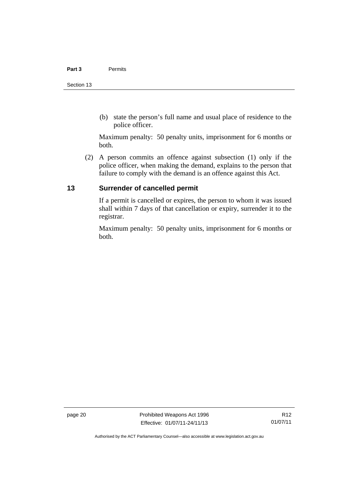(b) state the person's full name and usual place of residence to the police officer.

Maximum penalty: 50 penalty units, imprisonment for 6 months or both.

 (2) A person commits an offence against subsection (1) only if the police officer, when making the demand, explains to the person that failure to comply with the demand is an offence against this Act.

## <span id="page-25-0"></span>**13 Surrender of cancelled permit**

If a permit is cancelled or expires, the person to whom it was issued shall within 7 days of that cancellation or expiry, surrender it to the registrar.

Maximum penalty: 50 penalty units, imprisonment for 6 months or both.

page 20 **Prohibited Weapons Act 1996** Effective: 01/07/11-24/11/13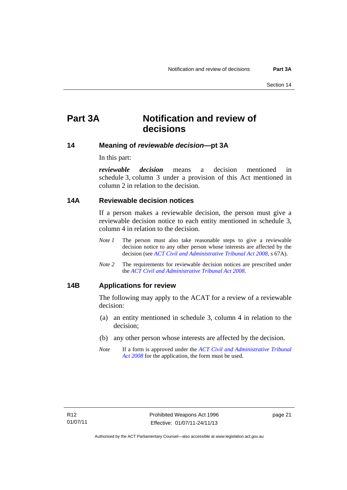## <span id="page-26-0"></span>**Part 3A Notification and review of decisions**

### <span id="page-26-1"></span>**14 Meaning of** *reviewable decision—***pt 3A**

In this part:

*reviewable decision* means a decision mentioned in schedule 3, column 3 under a provision of this Act mentioned in column 2 in relation to the decision.

#### <span id="page-26-2"></span>**14A Reviewable decision notices**

If a person makes a reviewable decision, the person must give a reviewable decision notice to each entity mentioned in schedule 3, column 4 in relation to the decision.

- *Note 1* The person must also take reasonable steps to give a reviewable decision notice to any other person whose interests are affected by the decision (see *[ACT Civil and Administrative Tribunal Act 2008](http://www.legislation.act.gov.au/a/2008-35)*, s 67A).
- *Note 2* The requirements for reviewable decision notices are prescribed under the *[ACT Civil and Administrative Tribunal Act 2008](http://www.legislation.act.gov.au/a/2008-35)*.

### <span id="page-26-3"></span>**14B Applications for review**

The following may apply to the ACAT for a review of a reviewable decision:

- (a) an entity mentioned in schedule 3, column 4 in relation to the decision;
- (b) any other person whose interests are affected by the decision.
- *Note* If a form is approved under the *[ACT Civil and Administrative Tribunal](http://www.legislation.act.gov.au/a/2008-35)  [Act 2008](http://www.legislation.act.gov.au/a/2008-35)* for the application, the form must be used.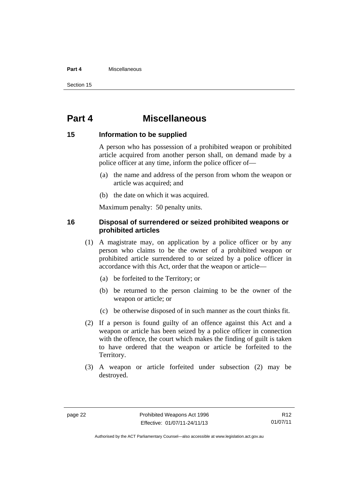#### **Part 4** Miscellaneous

Section 15

## <span id="page-27-0"></span>**Part 4 Miscellaneous**

#### <span id="page-27-1"></span>**15 Information to be supplied**

A person who has possession of a prohibited weapon or prohibited article acquired from another person shall, on demand made by a police officer at any time, inform the police officer of—

- (a) the name and address of the person from whom the weapon or article was acquired; and
- (b) the date on which it was acquired.

Maximum penalty: 50 penalty units.

### <span id="page-27-2"></span>**16 Disposal of surrendered or seized prohibited weapons or prohibited articles**

- (1) A magistrate may, on application by a police officer or by any person who claims to be the owner of a prohibited weapon or prohibited article surrendered to or seized by a police officer in accordance with this Act, order that the weapon or article—
	- (a) be forfeited to the Territory; or
	- (b) be returned to the person claiming to be the owner of the weapon or article; or
	- (c) be otherwise disposed of in such manner as the court thinks fit.
- (2) If a person is found guilty of an offence against this Act and a weapon or article has been seized by a police officer in connection with the offence, the court which makes the finding of guilt is taken to have ordered that the weapon or article be forfeited to the Territory.
- (3) A weapon or article forfeited under subsection (2) may be destroyed.

R12 01/07/11

Authorised by the ACT Parliamentary Counsel—also accessible at www.legislation.act.gov.au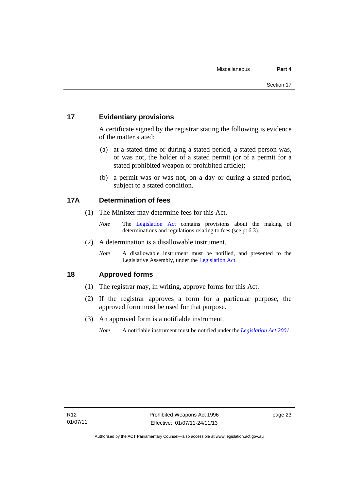## <span id="page-28-0"></span>**17 Evidentiary provisions**

A certificate signed by the registrar stating the following is evidence of the matter stated:

- (a) at a stated time or during a stated period, a stated person was, or was not, the holder of a stated permit (or of a permit for a stated prohibited weapon or prohibited article);
- (b) a permit was or was not, on a day or during a stated period, subject to a stated condition.

## <span id="page-28-1"></span>**17A Determination of fees**

- (1) The Minister may determine fees for this Act.
	- *Note* The [Legislation Act](http://www.legislation.act.gov.au/a/2001-14) contains provisions about the making of determinations and regulations relating to fees (see pt 6.3).
- (2) A determination is a disallowable instrument.
	- *Note* A disallowable instrument must be notified, and presented to the Legislative Assembly, under the [Legislation Act.](http://www.legislation.act.gov.au/a/2001-14)

## <span id="page-28-2"></span>**18 Approved forms**

- (1) The registrar may, in writing, approve forms for this Act.
- (2) If the registrar approves a form for a particular purpose, the approved form must be used for that purpose.
- (3) An approved form is a notifiable instrument.
	- *Note* A notifiable instrument must be notified under the *[Legislation Act 2001](http://www.legislation.act.gov.au/a/2001-14)*.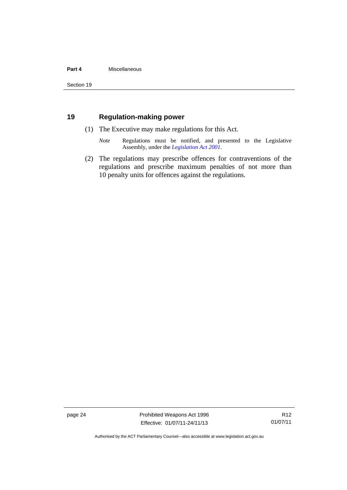#### **Part 4** Miscellaneous

## <span id="page-29-0"></span>**19 Regulation-making power**

- (1) The Executive may make regulations for this Act.
	- *Note* Regulations must be notified, and presented to the Legislative Assembly, under the *[Legislation Act 2001](http://www.legislation.act.gov.au/a/2001-14)*.
- (2) The regulations may prescribe offences for contraventions of the regulations and prescribe maximum penalties of not more than 10 penalty units for offences against the regulations.

page 24 **Prohibited Weapons Act 1996** Effective: 01/07/11-24/11/13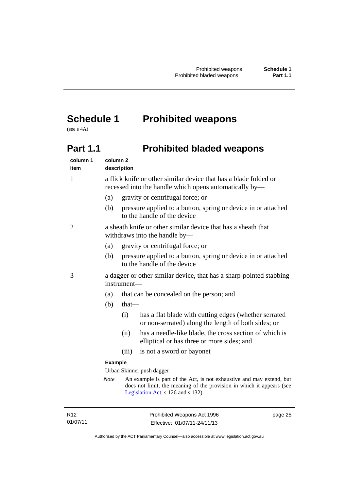# <span id="page-30-0"></span>**Schedule 1 Prohibited weapons**

(see s 4A)

# <span id="page-30-1"></span>Part 1.1 **Prohibited bladed weapons**

| column 1<br>item | column <sub>2</sub>       | description                                                                                                                |                                                                                                                                                                                     |
|------------------|---------------------------|----------------------------------------------------------------------------------------------------------------------------|-------------------------------------------------------------------------------------------------------------------------------------------------------------------------------------|
| 1                |                           | a flick knife or other similar device that has a blade folded or<br>recessed into the handle which opens automatically by— |                                                                                                                                                                                     |
|                  | (a)                       |                                                                                                                            | gravity or centrifugal force; or                                                                                                                                                    |
|                  | (b)                       |                                                                                                                            | pressure applied to a button, spring or device in or attached<br>to the handle of the device                                                                                        |
| 2                |                           | a sheath knife or other similar device that has a sheath that<br>withdraws into the handle by-                             |                                                                                                                                                                                     |
|                  | (a)                       |                                                                                                                            | gravity or centrifugal force; or                                                                                                                                                    |
|                  | (b)                       |                                                                                                                            | pressure applied to a button, spring or device in or attached<br>to the handle of the device                                                                                        |
| 3                |                           | a dagger or other similar device, that has a sharp-pointed stabbing<br>instrument-                                         |                                                                                                                                                                                     |
|                  | (a)                       |                                                                                                                            | that can be concealed on the person; and                                                                                                                                            |
|                  | (b)                       | $that-$                                                                                                                    |                                                                                                                                                                                     |
|                  |                           | (i)                                                                                                                        | has a flat blade with cutting edges (whether serrated<br>or non-serrated) along the length of both sides; or                                                                        |
|                  |                           | (ii)                                                                                                                       | has a needle-like blade, the cross section of which is<br>elliptical or has three or more sides; and                                                                                |
|                  |                           | (iii)                                                                                                                      | is not a sword or bayonet                                                                                                                                                           |
|                  |                           | <b>Example</b>                                                                                                             |                                                                                                                                                                                     |
|                  | Urban Skinner push dagger |                                                                                                                            |                                                                                                                                                                                     |
|                  | <b>Note</b>               |                                                                                                                            | An example is part of the Act, is not exhaustive and may extend, but<br>does not limit, the meaning of the provision in which it appears (see<br>Legislation Act, s 126 and s 132). |
|                  |                           |                                                                                                                            |                                                                                                                                                                                     |

R12 01/07/11 Prohibited Weapons Act 1996 Effective: 01/07/11-24/11/13 page 25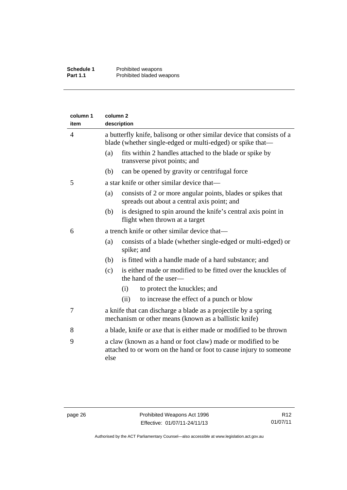| column 1<br>item | column <sub>2</sub><br>description |                                                                                                                                      |  |  |
|------------------|------------------------------------|--------------------------------------------------------------------------------------------------------------------------------------|--|--|
| 4                |                                    | a butterfly knife, balisong or other similar device that consists of a<br>blade (whether single-edged or multi-edged) or spike that— |  |  |
|                  | (a)                                | fits within 2 handles attached to the blade or spike by<br>transverse pivot points; and                                              |  |  |
|                  | (b)                                | can be opened by gravity or centrifugal force                                                                                        |  |  |
| 5                |                                    | a star knife or other similar device that—                                                                                           |  |  |
|                  | (a)                                | consists of 2 or more angular points, blades or spikes that<br>spreads out about a central axis point; and                           |  |  |
|                  | (b)                                | is designed to spin around the knife's central axis point in<br>flight when thrown at a target                                       |  |  |
| 6                |                                    | a trench knife or other similar device that-                                                                                         |  |  |
|                  | (a)                                | consists of a blade (whether single-edged or multi-edged) or<br>spike; and                                                           |  |  |
|                  | (b)                                | is fitted with a handle made of a hard substance; and                                                                                |  |  |
|                  | (c)                                | is either made or modified to be fitted over the knuckles of<br>the hand of the user—                                                |  |  |
|                  |                                    | to protect the knuckles; and<br>(i)                                                                                                  |  |  |
|                  |                                    | (ii)<br>to increase the effect of a punch or blow                                                                                    |  |  |
| 7                |                                    | a knife that can discharge a blade as a projectile by a spring<br>mechanism or other means (known as a ballistic knife)              |  |  |
| 8                |                                    | a blade, knife or axe that is either made or modified to be thrown                                                                   |  |  |
| 9                | else                               | a claw (known as a hand or foot claw) made or modified to be<br>attached to or worn on the hand or foot to cause injury to someone   |  |  |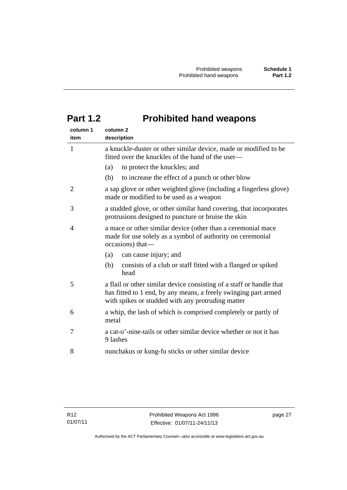# <span id="page-32-0"></span>**Part 1.2 Prohibited hand weapons**

| column 1<br>item | column <sub>2</sub><br>description                                                                                                                                                           |
|------------------|----------------------------------------------------------------------------------------------------------------------------------------------------------------------------------------------|
| $\mathbf{1}$     | a knuckle-duster or other similar device, made or modified to be<br>fitted over the knuckles of the hand of the user—                                                                        |
|                  | (a)<br>to protect the knuckles; and                                                                                                                                                          |
|                  | (b)<br>to increase the effect of a punch or other blow                                                                                                                                       |
| $\overline{2}$   | a sap glove or other weighted glove (including a fingerless glove)<br>made or modified to be used as a weapon                                                                                |
| 3                | a studded glove, or other similar hand covering, that incorporates<br>protrusions designed to puncture or bruise the skin                                                                    |
| 4                | a mace or other similar device (other than a ceremonial mace<br>made for use solely as a symbol of authority on ceremonial<br>occasions) that-                                               |
|                  | (a)<br>can cause injury; and                                                                                                                                                                 |
|                  | (b)<br>consists of a club or staff fitted with a flanged or spiked<br>head                                                                                                                   |
| 5                | a flail or other similar device consisting of a staff or handle that<br>has fitted to 1 end, by any means, a freely swinging part armed<br>with spikes or studded with any protruding matter |
| 6                | a whip, the lash of which is comprised completely or partly of<br>metal                                                                                                                      |
| 7                | a cat-o'-nine-tails or other similar device whether or not it has<br>9 lashes                                                                                                                |
| 8                | nunchakus or kung-fu sticks or other similar device                                                                                                                                          |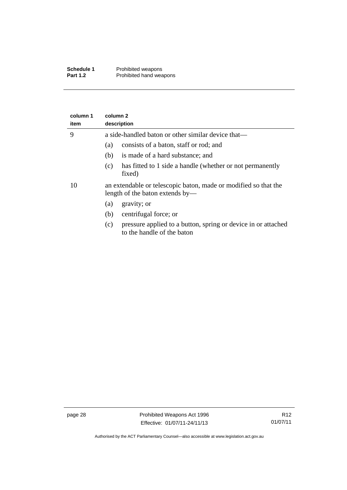| Schedule 1      | Prohibited weapons      |
|-----------------|-------------------------|
| <b>Part 1.2</b> | Prohibited hand weapons |

| column 1<br>item | column <sub>2</sub><br>description                                                                 |  |  |  |
|------------------|----------------------------------------------------------------------------------------------------|--|--|--|
| 9                | a side-handled baton or other similar device that—                                                 |  |  |  |
|                  | consists of a baton, staff or rod; and<br>(a)                                                      |  |  |  |
|                  | is made of a hard substance; and<br>(b)                                                            |  |  |  |
|                  | has fitted to 1 side a handle (whether or not permanently<br>(c)<br>fixed)                         |  |  |  |
| 10               | an extendable or telescopic baton, made or modified so that the<br>length of the baton extends by— |  |  |  |
|                  | gravity; or<br>(a)                                                                                 |  |  |  |
|                  | centrifugal force; or<br>(b)                                                                       |  |  |  |
|                  | pressure applied to a button, spring or device in or attached<br>(c)<br>to the handle of the baton |  |  |  |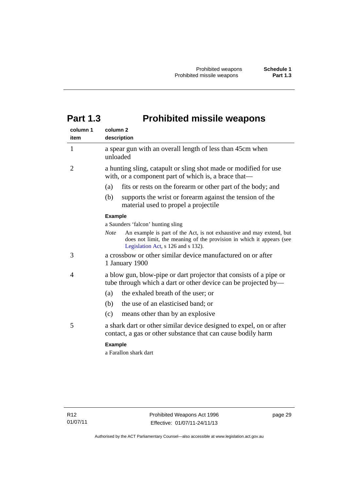# <span id="page-34-0"></span>**Part 1.3 Prohibited missile weapons**

| column 1<br>item | column <sub>2</sub><br>description                                                                                                                                                                 |
|------------------|----------------------------------------------------------------------------------------------------------------------------------------------------------------------------------------------------|
| 1                | a spear gun with an overall length of less than 45cm when<br>unloaded                                                                                                                              |
| 2                | a hunting sling, catapult or sling shot made or modified for use<br>with, or a component part of which is, a brace that-                                                                           |
|                  | (a)<br>fits or rests on the forearm or other part of the body; and                                                                                                                                 |
|                  | supports the wrist or forearm against the tension of the<br>(b)<br>material used to propel a projectile                                                                                            |
|                  | <b>Example</b>                                                                                                                                                                                     |
|                  | a Saunders 'falcon' hunting sling                                                                                                                                                                  |
|                  | An example is part of the Act, is not exhaustive and may extend, but<br><b>Note</b><br>does not limit, the meaning of the provision in which it appears (see<br>Legislation Act, s 126 and s 132). |
| 3                | a crossbow or other similar device manufactured on or after<br>1 January 1900                                                                                                                      |
| 4                | a blow gun, blow-pipe or dart projector that consists of a pipe or<br>tube through which a dart or other device can be projected by-                                                               |
|                  | (a)<br>the exhaled breath of the user; or                                                                                                                                                          |
|                  | the use of an elasticised band; or<br>(b)                                                                                                                                                          |
|                  | (c)<br>means other than by an explosive                                                                                                                                                            |
| 5                | a shark dart or other similar device designed to expel, on or after<br>contact, a gas or other substance that can cause bodily harm                                                                |
|                  | <b>Example</b>                                                                                                                                                                                     |
|                  | a Farallon shark dart                                                                                                                                                                              |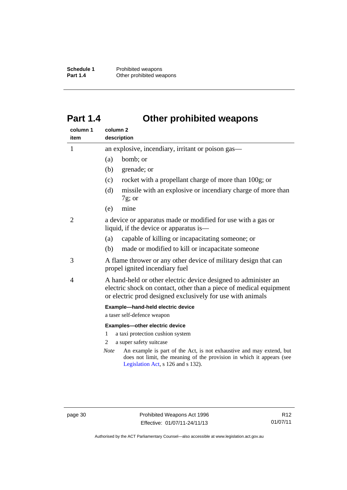**Schedule 1** Prohibited weapons<br> **Part 1.4** Other prohibited wea **Other prohibited weapons** 

# <span id="page-35-0"></span>**Part 1.4 Other prohibited weapons**

| column 1<br>item | column <sub>2</sub><br>description                                                                                                                                                                 |  |
|------------------|----------------------------------------------------------------------------------------------------------------------------------------------------------------------------------------------------|--|
| $\mathbf{1}$     | an explosive, incendiary, irritant or poison gas—                                                                                                                                                  |  |
|                  | bomb; or<br>(a)                                                                                                                                                                                    |  |
|                  | (b)<br>grenade; or                                                                                                                                                                                 |  |
|                  | rocket with a propellant charge of more than 100g; or<br>(c)                                                                                                                                       |  |
|                  | missile with an explosive or incendiary charge of more than<br>(d)<br>$7g$ ; or                                                                                                                    |  |
|                  | mine<br>(e)                                                                                                                                                                                        |  |
| 2                | a device or apparatus made or modified for use with a gas or<br>liquid, if the device or apparatus is—                                                                                             |  |
|                  | capable of killing or incapacitating someone; or<br>(a)                                                                                                                                            |  |
|                  | (b)<br>made or modified to kill or incapacitate someone                                                                                                                                            |  |
| 3                | A flame thrower or any other device of military design that can<br>propel ignited incendiary fuel                                                                                                  |  |
| 4                | A hand-held or other electric device designed to administer an<br>electric shock on contact, other than a piece of medical equipment<br>or electric prod designed exclusively for use with animals |  |
|                  | Example-hand-held electric device<br>a taser self-defence weapon                                                                                                                                   |  |
|                  | Examples-other electric device                                                                                                                                                                     |  |
|                  | a taxi protection cushion system<br>1                                                                                                                                                              |  |
|                  | a super safety suitcase<br>2                                                                                                                                                                       |  |
|                  | An example is part of the Act, is not exhaustive and may extend, but<br><b>Note</b><br>does not limit, the meaning of the provision in which it appears (see<br>Legislation Act, s 126 and s 132). |  |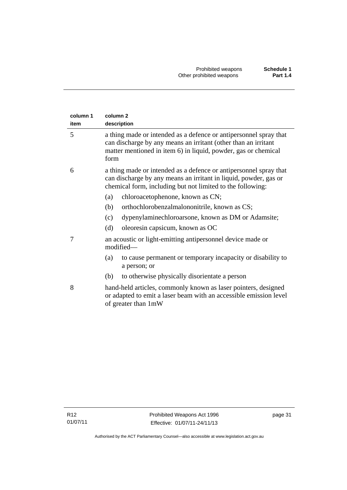| column 1<br>item | column <sub>2</sub><br>description                                                                                                                                                                            |  |  |
|------------------|---------------------------------------------------------------------------------------------------------------------------------------------------------------------------------------------------------------|--|--|
| 5                | a thing made or intended as a defence or antipersonnel spray that<br>can discharge by any means an irritant (other than an irritant<br>matter mentioned in item 6) in liquid, powder, gas or chemical<br>form |  |  |
| 6                | a thing made or intended as a defence or antipersonnel spray that<br>can discharge by any means an irritant in liquid, powder, gas or<br>chemical form, including but not limited to the following:           |  |  |
|                  | chloroacetophenone, known as CN;<br>(a)                                                                                                                                                                       |  |  |
|                  | orthochlorobenzalmalononitrile, known as CS;<br>(b)                                                                                                                                                           |  |  |
|                  | dypenylaminechloroarsone, known as DM or Adamsite;<br>(c)                                                                                                                                                     |  |  |
|                  | oleoresin capsicum, known as OC<br>(d)                                                                                                                                                                        |  |  |
| 7                | an acoustic or light-emitting antipersonnel device made or<br>modified-                                                                                                                                       |  |  |
|                  | to cause permanent or temporary incapacity or disability to<br>(a)<br>a person; or                                                                                                                            |  |  |
|                  | to otherwise physically disorientate a person<br>(b)                                                                                                                                                          |  |  |
| 8                | hand-held articles, commonly known as laser pointers, designed<br>or adapted to emit a laser beam with an accessible emission level<br>of greater than 1mW                                                    |  |  |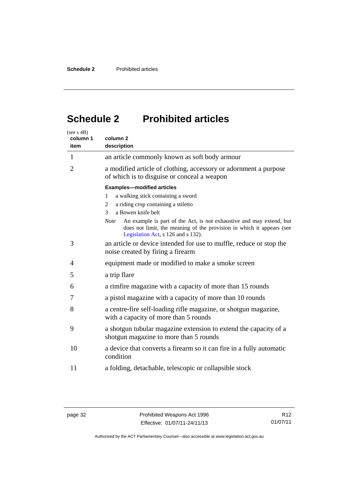# <span id="page-37-0"></span>**Schedule 2 Prohibited articles**

| (see s 4B)<br>column 1<br>item | column <sub>2</sub><br>description                                                                                                                                                                 |  |  |
|--------------------------------|----------------------------------------------------------------------------------------------------------------------------------------------------------------------------------------------------|--|--|
| 1                              | an article commonly known as soft body armour                                                                                                                                                      |  |  |
| $\overline{2}$                 | a modified article of clothing, accessory or adornment a purpose<br>of which is to disguise or conceal a weapon                                                                                    |  |  |
|                                | <b>Examples-modified articles</b>                                                                                                                                                                  |  |  |
|                                | a walking stick containing a sword<br>1                                                                                                                                                            |  |  |
|                                | a riding crop containing a stiletto<br>2                                                                                                                                                           |  |  |
|                                | a Bowen knife belt<br>3                                                                                                                                                                            |  |  |
|                                | An example is part of the Act, is not exhaustive and may extend, but<br><b>Note</b><br>does not limit, the meaning of the provision in which it appears (see<br>Legislation Act, s 126 and s 132). |  |  |
| 3                              | an article or device intended for use to muffle, reduce or stop the<br>noise created by firing a firearm                                                                                           |  |  |
| 4                              | equipment made or modified to make a smoke screen                                                                                                                                                  |  |  |
| 5                              | a trip flare                                                                                                                                                                                       |  |  |
| 6                              | a rimfire magazine with a capacity of more than 15 rounds                                                                                                                                          |  |  |
| 7                              | a pistol magazine with a capacity of more than 10 rounds                                                                                                                                           |  |  |
| 8                              | a centre-fire self-loading rifle magazine, or shotgun magazine,<br>with a capacity of more than 5 rounds                                                                                           |  |  |
| 9                              | a shotgun tubular magazine extension to extend the capacity of a<br>shotgun magazine to more than 5 rounds                                                                                         |  |  |
| 10                             | a device that converts a firearm so it can fire in a fully automatic<br>condition                                                                                                                  |  |  |
| 11                             | a folding, detachable, telescopic or collapsible stock                                                                                                                                             |  |  |

Authorised by the ACT Parliamentary Counsel—also accessible at www.legislation.act.gov.au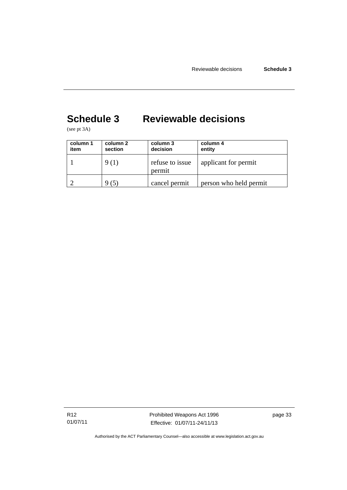# <span id="page-38-0"></span>**Schedule 3 Reviewable decisions**

(see pt 3A)

| column 1<br>item | column 2<br>section | column 3<br>decision      | column 4<br>entity     |
|------------------|---------------------|---------------------------|------------------------|
|                  | 9 (1)               | refuse to issue<br>permit | applicant for permit   |
|                  | (5)                 | cancel permit             | person who held permit |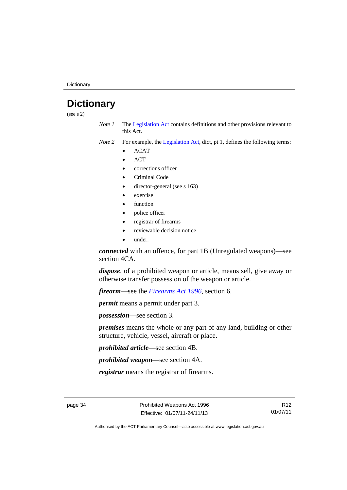**Dictionary** 

## <span id="page-39-0"></span>**Dictionary**

(see s 2)

- *Note 1* The [Legislation Act](http://www.legislation.act.gov.au/a/2001-14) contains definitions and other provisions relevant to this Act.
- *Note 2* For example, the [Legislation Act,](http://www.legislation.act.gov.au/a/2001-14) dict, pt 1, defines the following terms:
	- ACAT
	- **ACT**
	- corrections officer
	- Criminal Code
	- director-general (see s 163)
	- exercise
	- function
	- police officer
	- registrar of firearms
	- reviewable decision notice
	- under.

*connected* with an offence, for part 1B (Unregulated weapons)—see section 4CA.

*dispose*, of a prohibited weapon or article, means sell, give away or otherwise transfer possession of the weapon or article.

*firearm*—see the *[Firearms Act 1996](http://www.legislation.act.gov.au/a/1996-74)*, section 6.

*permit* means a permit under part 3.

*possession*—see section 3.

*premises* means the whole or any part of any land, building or other structure, vehicle, vessel, aircraft or place.

*prohibited article*—see section 4B.

*prohibited weapon*—see section 4A.

*registrar* means the registrar of firearms.

R12 01/07/11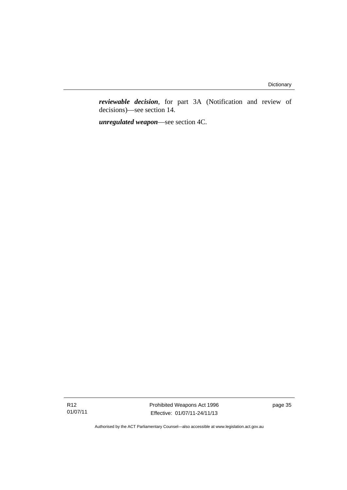*reviewable decision*, for part 3A (Notification and review of decisions)—see section 14.

*unregulated weapon*—see section 4C.

R12 01/07/11 Prohibited Weapons Act 1996 Effective: 01/07/11-24/11/13

page 35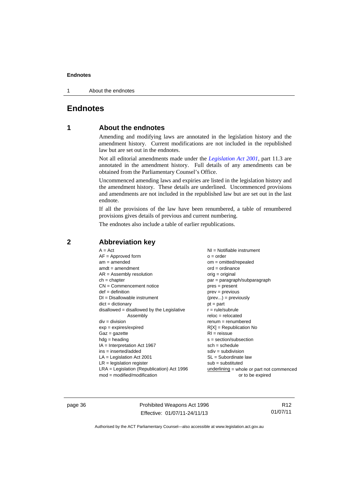1 About the endnotes

## <span id="page-41-0"></span>**Endnotes**

#### **1 About the endnotes**

Amending and modifying laws are annotated in the legislation history and the amendment history. Current modifications are not included in the republished law but are set out in the endnotes.

Not all editorial amendments made under the *[Legislation Act 2001](http://www.legislation.act.gov.au/a/2001-14)*, part 11.3 are annotated in the amendment history. Full details of any amendments can be obtained from the Parliamentary Counsel's Office.

Uncommenced amending laws and expiries are listed in the legislation history and the amendment history. These details are underlined. Uncommenced provisions and amendments are not included in the republished law but are set out in the last endnote.

If all the provisions of the law have been renumbered, a table of renumbered provisions gives details of previous and current numbering.

The endnotes also include a table of earlier republications.

| $A = Act$                                    | $NI =$ Notifiable instrument              |
|----------------------------------------------|-------------------------------------------|
| $AF =$ Approved form                         | $o = order$                               |
| $am = amended$                               | $om = omitted/repealed$                   |
| $amdt = amendment$                           | $ord = ordinance$                         |
| $AR = Assembly resolution$                   | $orig = original$                         |
| $ch = chapter$                               | par = paragraph/subparagraph              |
| $CN =$ Commencement notice                   | $pres = present$                          |
| $def = definition$                           | $prev = previous$                         |
| $DI = Disallowable instrument$               | $(\text{prev}) = \text{previously}$       |
| $dict = dictionary$                          | $pt = part$                               |
| $disallowed = disallowed by the Legislative$ | $r = rule/subrule$                        |
| Assembly                                     | $reloc = relocated$                       |
| $div =$ division                             | $renum = renumbered$                      |
| $exp = expires/expired$                      | $R[X]$ = Republication No                 |
| $Gaz = gazette$                              | $RI = reissue$                            |
| $hdg = heading$                              | s = section/subsection                    |
| $IA = Interpretation Act 1967$               | $sch = schedule$                          |
| $ins = inserted/added$                       | $sdiv = subdivision$                      |
| $LA =$ Legislation Act 2001                  | SL = Subordinate law                      |
| $LR =$ legislation register                  | $sub =$ substituted                       |
| $LRA =$ Legislation (Republication) Act 1996 | underlining = whole or part not commenced |
| $mod = modified/modification$                | or to be expired                          |

## <span id="page-41-2"></span>**2 Abbreviation key**

page 36 **Prohibited Weapons Act 1996** Effective: 01/07/11-24/11/13

R12 01/07/11

<span id="page-41-1"></span>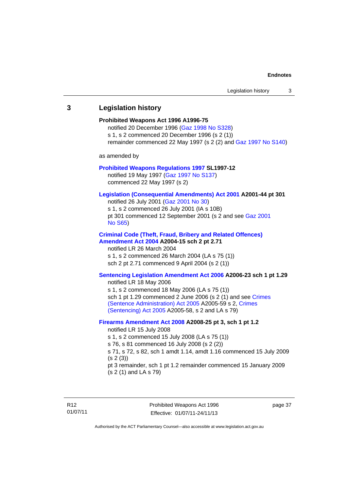## <span id="page-42-0"></span>**3 Legislation history Prohibited Weapons Act 1996 A1996-75**  notified 20 December 1996 [\(Gaz 1998 No S328](http://www.legislation.act.gov.au/gaz/1998-S328/default.asp)) s 1, s 2 commenced 20 December 1996 (s 2 (1)) remainder commenced 22 May 1997 (s 2 (2) and [Gaz 1997 No S140\)](http://www.legislation.act.gov.au/gaz/1997-S140/default.asp) as amended by **[Prohibited Weapons Regulations 1997](http://www.legislation.act.gov.au/sl/1997-12/default.asp) SL1997-12**  notified 19 May 1997 ([Gaz 1997 No S137](http://www.legislation.act.gov.au/gaz/1997-S137/default.asp)) commenced 22 May 1997 (s 2) **[Legislation \(Consequential Amendments\) Act 2001](http://www.legislation.act.gov.au/a/2001-44) A2001-44 pt 301**  notified 26 July 2001 ([Gaz 2001 No 30\)](http://www.legislation.act.gov.au/gaz/2001-30/default.asp) s 1, s 2 commenced 26 July 2001 (IA s 10B) pt 301 commenced 12 September 2001 (s 2 and see [Gaz 2001](http://www.legislation.act.gov.au/gaz/2001-S65/default.asp)  [No S65](http://www.legislation.act.gov.au/gaz/2001-S65/default.asp)) **[Criminal Code \(Theft, Fraud, Bribery and Related Offences\)](http://www.legislation.act.gov.au/a/2004-15/default.asp)  [Amendment Act 2004](http://www.legislation.act.gov.au/a/2004-15/default.asp) A2004-15 sch 2 pt 2.71**  notified LR 26 March 2004 s 1, s 2 commenced 26 March 2004 (LA s 75 (1)) sch 2 pt 2.71 commenced 9 April 2004 (s 2 (1)) **[Sentencing Legislation Amendment Act 2006](http://www.legislation.act.gov.au/a/2006-23) A2006-23 sch 1 pt 1.29**  notified LR 18 May 2006 s 1, s 2 commenced 18 May 2006 (LA s 75 (1)) sch 1 pt 1.29 commenced 2 June 2006 (s 2 (1) and see Crimes [\(Sentence Administration\) Act 2005](http://www.legislation.act.gov.au/a/2005-59) A2005-59 s 2, [Crimes](http://www.legislation.act.gov.au/a/2005-58)  [\(Sentencing\) Act 2005](http://www.legislation.act.gov.au/a/2005-58) A2005-58, s 2 and LA s 79) **[Firearms Amendment Act 2008](http://www.legislation.act.gov.au/a/2008-25) A2008-25 pt 3, sch 1 pt 1.2**  notified LR 15 July 2008 s 1, s 2 commenced 15 July 2008 (LA s 75 (1)) s 76, s 81 commenced 16 July 2008 (s 2 (2)) s 71, s 72, s 82, sch 1 amdt 1.14, amdt 1.16 commenced 15 July 2009 (s 2 (3)) pt 3 remainder, sch 1 pt 1.2 remainder commenced 15 January 2009 (s 2 (1) and LA s 79)

Prohibited Weapons Act 1996 Effective: 01/07/11-24/11/13

page 37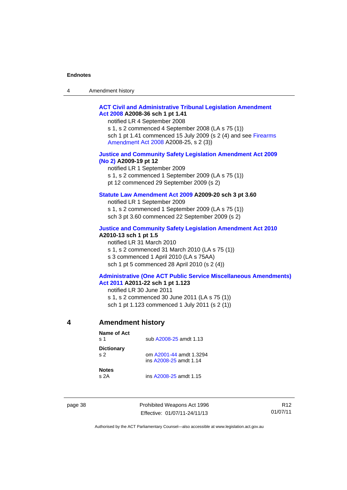| Amendment history<br>$\overline{4}$ |  |
|-------------------------------------|--|
|-------------------------------------|--|

#### **[ACT Civil and Administrative Tribunal Legislation Amendment](http://www.legislation.act.gov.au/a/2008-36)  [Act 2008](http://www.legislation.act.gov.au/a/2008-36) A2008-36 sch 1 pt 1.41**

notified LR 4 September 2008

s 1, s 2 commenced 4 September 2008 (LA s 75 (1)) sch 1 pt 1.41 commenced 15 July 2009 (s 2 (4) and see [Firearms](http://www.legislation.act.gov.au/a/2008-25)  [Amendment Act 2008](http://www.legislation.act.gov.au/a/2008-25) A2008-25, s 2 (3))

#### **[Justice and Community Safety Legislation Amendment Act 2009](http://www.legislation.act.gov.au/a/2009-19)  [\(No 2\)](http://www.legislation.act.gov.au/a/2009-19) A2009-19 pt 12**

notified LR 1 September 2009 s 1, s 2 commenced 1 September 2009 (LA s 75 (1)) pt 12 commenced 29 September 2009 (s 2)

#### **[Statute Law Amendment Act 2009](http://www.legislation.act.gov.au/a/2009-20) A2009-20 sch 3 pt 3.60**

notified LR 1 September 2009 s 1, s 2 commenced 1 September 2009 (LA s 75 (1)) sch 3 pt 3.60 commenced 22 September 2009 (s 2)

#### **[Justice and Community Safety Legislation Amendment Act 2010](http://www.legislation.act.gov.au/a/2010-13)**

**A2010-13 sch 1 pt 1.5**  notified LR 31 March 2010

s 1, s 2 commenced 31 March 2010 (LA s 75 (1))

s 3 commenced 1 April 2010 (LA s 75AA)

sch 1 pt 5 commenced 28 April 2010 (s 2 (4))

#### **[Administrative \(One ACT Public Service Miscellaneous Amendments\)](http://www.legislation.act.gov.au/a/2011-22)  [Act 2011](http://www.legislation.act.gov.au/a/2011-22) A2011-22 sch 1 pt 1.123**

notified LR 30 June 2011 s 1, s 2 commenced 30 June 2011 (LA s 75 (1)) sch 1 pt 1.123 commenced 1 July 2011 (s 2 (1))

<span id="page-43-0"></span>

#### **4 Amendment history**

| Name of Act<br>$\boldsymbol{\mathsf{s}}$ 1 | sub A2008-25 amdt 1.13                            |  |  |
|--------------------------------------------|---------------------------------------------------|--|--|
| <b>Dictionary</b><br>S <sub>2</sub>        | om A2001-44 amdt 1.3294<br>ins A2008-25 amdt 1.14 |  |  |
| <b>Notes</b><br>s 2A                       | ins A2008-25 amdt 1.15                            |  |  |

page 38 **Prohibited Weapons Act 1996** Effective: 01/07/11-24/11/13

R12 01/07/11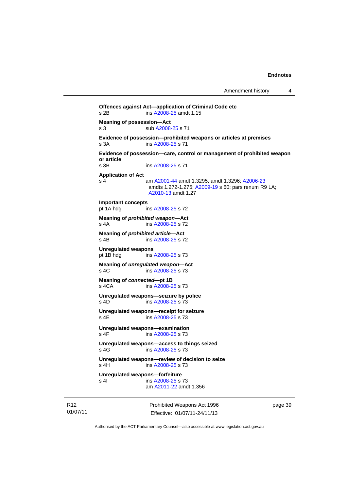page 39

```
Amendment history 4
```

```
Prohibited Weapons Act 1996 
Offences against Act—application of Criminal Code etc 
s 2B ins A2008-25 amdt 1.15 
Meaning of possession—Act 
A2008-25 s 71
Evidence of possession—prohibited weapons or articles at premises 
s 3A ins A2008-25 s 71 
Evidence of possession—care, control or management of prohibited weapon 
or article 
                A2008-25 s 71
Application of Act 
s 4 am A2001-44 amdt 1.3295, amdt 1.3296; A2006-23
               amdts 1.272-1.275; A2009-19 s 60; pars renum R9 LA; 
               A2010-13 amdt 1.27 
Important concepts 
pt 1A hdg ins A2008-25 s 72 
Meaning of prohibited weapon—Act 
A2008-25 s 72
Meaning of prohibited article—Act 
s 4B ins A2008-25 s 72 
Unregulated weapons 
pt 1B hdg ins A2008-25 s 73 
Meaning of unregulated weapon—Act 
s 4C ins A2008-25 s 73 
Meaning of connected—pt 1B 
 A2008-25 s 73
Unregulated weapons—seizure by police 
s 4D ins A2008-25 s 73 
Unregulated weapons—receipt for seizure 
A2008-25 s 73
Unregulated weapons—examination 
A2008-25 s 73
Unregulated weapons—access to things seized 
s 4G A2008-25 s 73
Unregulated weapons—review of decision to seize 
 A2008-25 s 73
Unregulated weapons—forfeiture 
A2008-25 s 73
                am A2011-22 amdt 1.356
```
Authorised by the ACT Parliamentary Counsel—also accessible at www.legislation.act.gov.au

Effective: 01/07/11-24/11/13

R12 01/07/11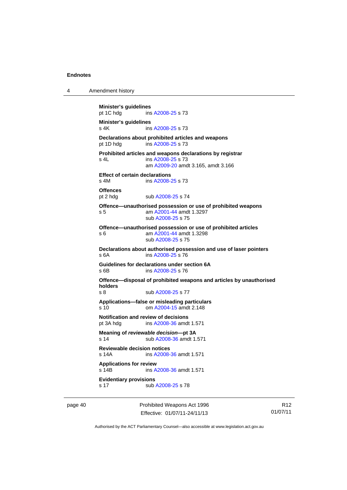4 Amendment history

| Minister's guidelines<br>pt 1C hdg | ins A2008-25 s 73                                                                       |
|------------------------------------|-----------------------------------------------------------------------------------------|
| Minister's guidelines              |                                                                                         |
| s 4K                               | ins A2008-25 s 73                                                                       |
|                                    | Declarations about prohibited articles and weapons                                      |
| pt 1D hdg                          | ins A2008-25 s 73                                                                       |
|                                    | Prohibited articles and weapons declarations by registrar                               |
| $s$ 4L                             | ins A2008-25 s 73                                                                       |
|                                    | am A2009-20 amdt 3.165, amdt 3.166                                                      |
|                                    | <b>Effect of certain declarations</b>                                                   |
| $s$ 4M                             | ins A2008-25 s 73                                                                       |
| <b>Offences</b>                    |                                                                                         |
| pt 2 hdg                           | sub A2008-25 s 74                                                                       |
|                                    | Offence—unauthorised possession or use of prohibited weapons                            |
| s <sub>5</sub>                     | am A2001-44 amdt 1.3297                                                                 |
|                                    | sub A2008-25 s 75                                                                       |
|                                    | Offence-unauthorised possession or use of prohibited articles                           |
| s 6                                | am A2001-44 amdt 1.3298<br>sub A2008-25 s 75                                            |
|                                    |                                                                                         |
| s 6A                               | Declarations about authorised possession and use of laser pointers<br>ins A2008-25 s 76 |
|                                    |                                                                                         |
| s 6B                               | Guidelines for declarations under section 6A<br>ins A2008-25 s 76                       |
|                                    |                                                                                         |
| holders                            | Offence—disposal of prohibited weapons and articles by unauthorised                     |
| $s$ 8                              | sub A2008-25 s 77                                                                       |
|                                    | Applications-false or misleading particulars                                            |
| s <sub>10</sub>                    | om A2004-15 amdt 2.148                                                                  |
|                                    | Notification and review of decisions                                                    |
| pt 3A hdg                          | ins A2008-36 amdt 1.571                                                                 |
|                                    | Meaning of reviewable decision---pt 3A                                                  |
| s 14                               | sub A2008-36 amdt 1.571                                                                 |
|                                    | <b>Reviewable decision notices</b>                                                      |
| $s$ 14 $A$                         | ins A2008-36 amdt 1.571                                                                 |
| <b>Applications for review</b>     |                                                                                         |
| s 14B                              | ins A2008-36 amdt 1.571                                                                 |
|                                    |                                                                                         |
| <b>Evidentiary provisions</b>      | sub A2008-25 s 78                                                                       |

page 40 **Prohibited Weapons Act 1996** Effective: 01/07/11-24/11/13

R12 01/07/11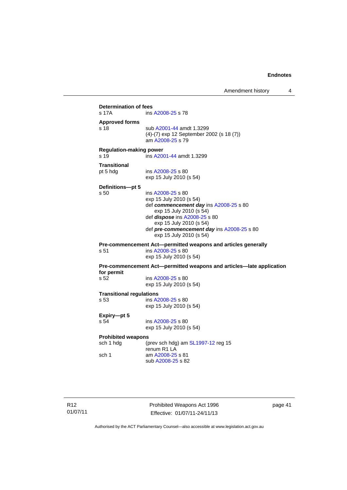Amendment history 4

```
Determination of fees<br>s 17A ins
                 A2008-25 s 78
Approved forms 
s 18 sub A2001-44 amdt 1.3299 
                 (4)-(7) exp 12 September 2002 (s 18 (7)) 
                  am A2008-25 s 79 
Regulation-making power 
s 19 ins A2001-44 amdt 1.3299 
Transitional 
pt 5 hdg ins A2008-25 s 80 
                 exp 15 July 2010 (s 54) 
Definitions—pt 5 
s 50 ins A2008-25 s 80 
                 exp 15 July 2010 (s 54) 
                  def commencement day ins A2008-25 s 80 
                    exp 15 July 2010 (s 54) 
                  def dispose ins A2008-25 s 80 
                    exp 15 July 2010 (s 54) 
                  def pre-commencement day ins A2008-25 s 80 
                    exp 15 July 2010 (s 54) 
Pre-commencement Act—permitted weapons and articles generally 
s 51 ins A2008-25 s 80 
                 exp 15 July 2010 (s 54) 
Pre-commencement Act—permitted weapons and articles—late application 
for permit 
                 A2008-25 s 80
                exp 15 July 2010 (s 54) 
Transitional regulations 
s 53 ins A2008-25 s 80 
                 exp 15 July 2010 (s 54) 
Expiry—pt 5 
s 54 ins A2008-25 s 80 
                exp 15 July 2010 (s 54) 
Prohibited weapons 
 SL1997-12 reg 15
                 renum R1 LA 
sch 1 am A2008-25 s 81 
                  sub A2008-25 s 82
```
Prohibited Weapons Act 1996 Effective: 01/07/11-24/11/13

page 41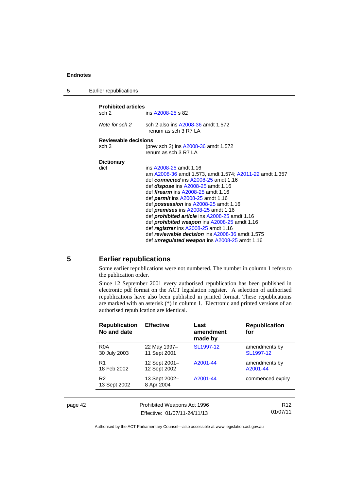5 Earlier republications

```
Prohibited articles 
                   A2008-25 s 82
Note for sch 2 sch 2 also ins A2008-36 amdt 1.572 
                   renum as sch 3 R7 LA 
Reviewable decisions 
sch 3 (prev sch 2) ins A2008-36 amdt 1.572 
                  renum as sch 3 R7 LA 
Dictionary 
dict ins A2008-25 amdt 1.16 
                   am A2008-36 amdt 1.573, amdt 1.574; A2011-22 amdt 1.357 
                   def connected ins A2008-25 amdt 1.16
                   def dispose ins A2008-25 amdt 1.16 
                   def firearm ins A2008-25 amdt 1.16 
                   def permit ins A2008-25 amdt 1.16 
                   def possession ins A2008-25 amdt 1.16
                   def premises ins A2008-25 amdt 1.16 
                   def prohibited article ins A2008-25 amdt 1.16 
                   def prohibited weapon ins A2008-25 amdt 1.16 
                   def registrar ins A2008-25 amdt 1.16 
                   def reviewable decision ins A2008-36 amdt 1.575 
                   def unregulated weapon ins A2008-25 amdt 1.16
```
<span id="page-47-0"></span>

#### **5 Earlier republications**

Some earlier republications were not numbered. The number in column 1 refers to the publication order.

Since 12 September 2001 every authorised republication has been published in electronic pdf format on the ACT legislation register. A selection of authorised republications have also been published in printed format. These republications are marked with an asterisk (\*) in column 1. Electronic and printed versions of an authorised republication are identical.

|         | <b>Republication</b><br>No and date | <b>Effective</b>              | Last<br>amendment<br>made by | <b>Republication</b><br>for |
|---------|-------------------------------------|-------------------------------|------------------------------|-----------------------------|
|         | R <sub>0</sub> A<br>30 July 2003    | 22 May 1997-<br>11 Sept 2001  | SL1997-12                    | amendments by<br>SL1997-12  |
|         | R1<br>18 Feb 2002                   | 12 Sept 2001-<br>12 Sept 2002 | A2001-44                     | amendments by<br>A2001-44   |
|         | R <sub>2</sub><br>13 Sept 2002      | 13 Sept 2002-<br>8 Apr 2004   | A2001-44                     | commenced expiry            |
|         |                                     |                               |                              |                             |
| page 42 |                                     | Prohibited Weapons Act 1996   |                              | R <sub>12</sub>             |

Effective: 01/07/11-24/11/13

01/07/11